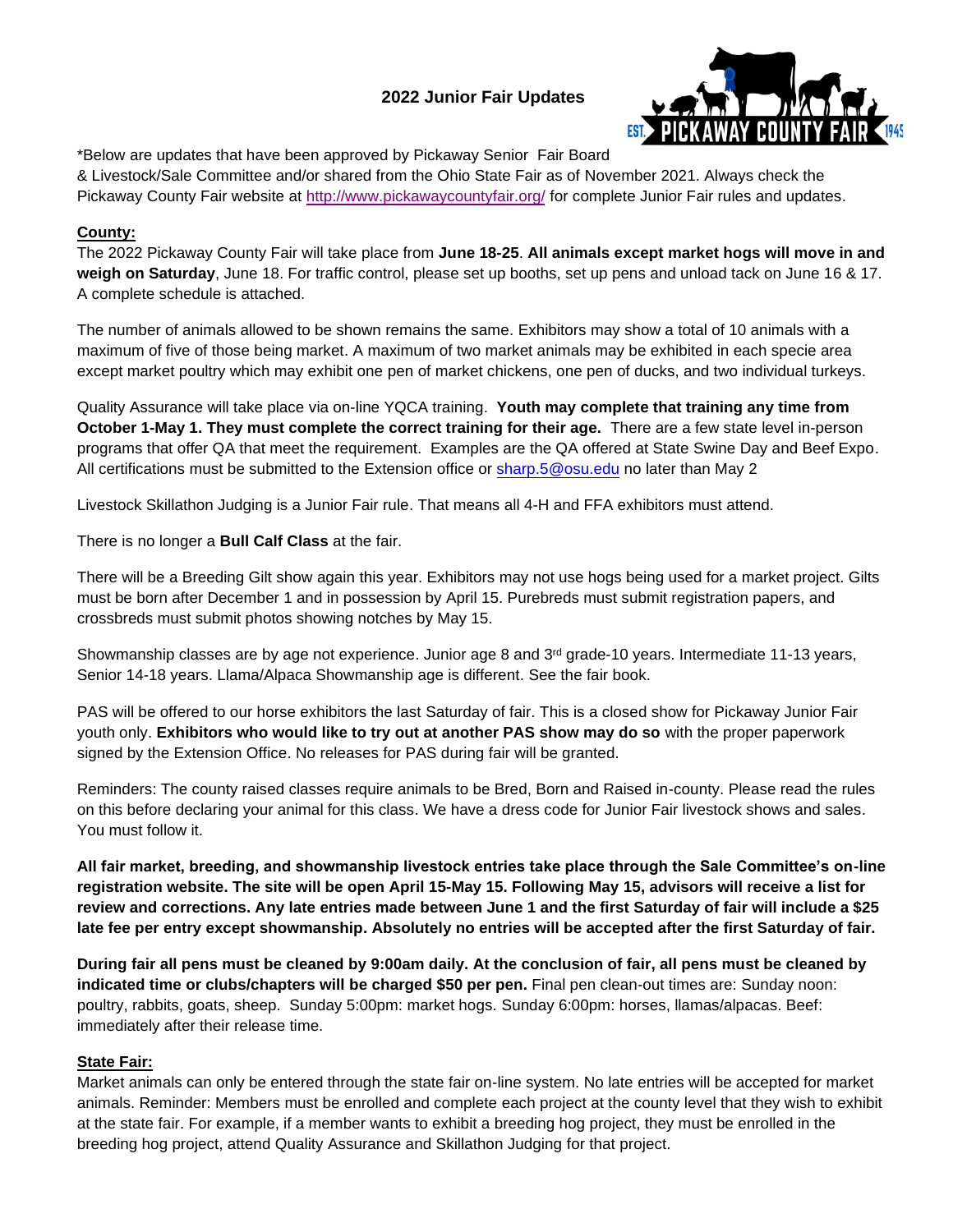## **2022 Junior Fair Updates**



\*Below are updates that have been approved by Pickaway Senior Fair Board & Livestock/Sale Committee and/or shared from the Ohio State Fair as of November 2021. Always check the Pickaway County Fair website at<http://www.pickawaycountyfair.org/> for complete Junior Fair rules and updates.

## **County:**

The 2022 Pickaway County Fair will take place from **June 18-25**. **All animals except market hogs will move in and weigh on Saturday**, June 18. For traffic control, please set up booths, set up pens and unload tack on June 16 & 17. A complete schedule is attached.

The number of animals allowed to be shown remains the same. Exhibitors may show a total of 10 animals with a maximum of five of those being market. A maximum of two market animals may be exhibited in each specie area except market poultry which may exhibit one pen of market chickens, one pen of ducks, and two individual turkeys.

Quality Assurance will take place via on-line YQCA training. **Youth may complete that training any time from October 1-May 1. They must complete the correct training for their age.** There are a few state level in-person programs that offer QA that meet the requirement. Examples are the QA offered at State Swine Day and Beef Expo. All certifications must be submitted to the Extension office or [sharp.5@osu.edu](mailto:sharp.5@osu.edu) no later than May 2

Livestock Skillathon Judging is a Junior Fair rule. That means all 4-H and FFA exhibitors must attend.

There is no longer a **Bull Calf Class** at the fair.

There will be a Breeding Gilt show again this year. Exhibitors may not use hogs being used for a market project. Gilts must be born after December 1 and in possession by April 15. Purebreds must submit registration papers, and crossbreds must submit photos showing notches by May 15.

Showmanship classes are by age not experience. Junior age 8 and 3<sup>rd</sup> grade-10 years. Intermediate 11-13 years, Senior 14-18 years. Llama/Alpaca Showmanship age is different. See the fair book.

PAS will be offered to our horse exhibitors the last Saturday of fair. This is a closed show for Pickaway Junior Fair youth only. **Exhibitors who would like to try out at another PAS show may do so** with the proper paperwork signed by the Extension Office. No releases for PAS during fair will be granted.

Reminders: The county raised classes require animals to be Bred, Born and Raised in-county. Please read the rules on this before declaring your animal for this class. We have a dress code for Junior Fair livestock shows and sales. You must follow it.

**All fair market, breeding, and showmanship livestock entries take place through the Sale Committee's on-line registration website. The site will be open April 15-May 15. Following May 15, advisors will receive a list for review and corrections. Any late entries made between June 1 and the first Saturday of fair will include a \$25 late fee per entry except showmanship. Absolutely no entries will be accepted after the first Saturday of fair.** 

**During fair all pens must be cleaned by 9:00am daily. At the conclusion of fair, all pens must be cleaned by indicated time or clubs/chapters will be charged \$50 per pen.** Final pen clean-out times are: Sunday noon: poultry, rabbits, goats, sheep. Sunday 5:00pm: market hogs. Sunday 6:00pm: horses, llamas/alpacas. Beef: immediately after their release time.

## **State Fair:**

Market animals can only be entered through the state fair on-line system. No late entries will be accepted for market animals. Reminder: Members must be enrolled and complete each project at the county level that they wish to exhibit at the state fair. For example, if a member wants to exhibit a breeding hog project, they must be enrolled in the breeding hog project, attend Quality Assurance and Skillathon Judging for that project.